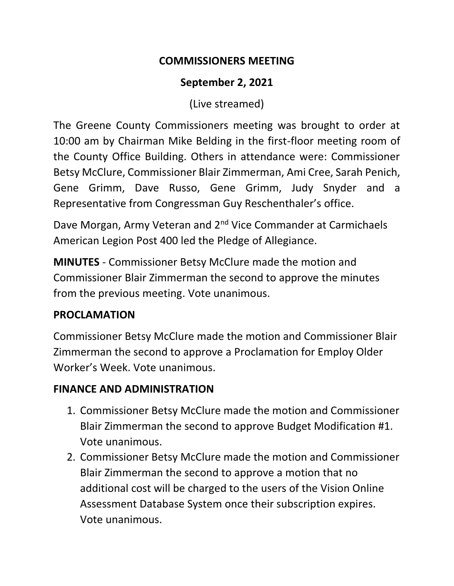### **COMMISSIONERS MEETING**

# **September 2, 2021**

(Live streamed)

The Greene County Commissioners meeting was brought to order at 10:00 am by Chairman Mike Belding in the first-floor meeting room of the County Office Building. Others in attendance were: Commissioner Betsy McClure, Commissioner Blair Zimmerman, Ami Cree, Sarah Penich, Gene Grimm, Dave Russo, Gene Grimm, Judy Snyder and a Representative from Congressman Guy Reschenthaler's office.

Dave Morgan, Army Veteran and 2<sup>nd</sup> Vice Commander at Carmichaels American Legion Post 400 led the Pledge of Allegiance.

**MINUTES** - Commissioner Betsy McClure made the motion and Commissioner Blair Zimmerman the second to approve the minutes from the previous meeting. Vote unanimous.

## **PROCLAMATION**

Commissioner Betsy McClure made the motion and Commissioner Blair Zimmerman the second to approve a Proclamation for Employ Older Worker's Week. Vote unanimous.

## **FINANCE AND ADMINISTRATION**

- 1. Commissioner Betsy McClure made the motion and Commissioner Blair Zimmerman the second to approve Budget Modification #1. Vote unanimous.
- 2. Commissioner Betsy McClure made the motion and Commissioner Blair Zimmerman the second to approve a motion that no additional cost will be charged to the users of the Vision Online Assessment Database System once their subscription expires. Vote unanimous.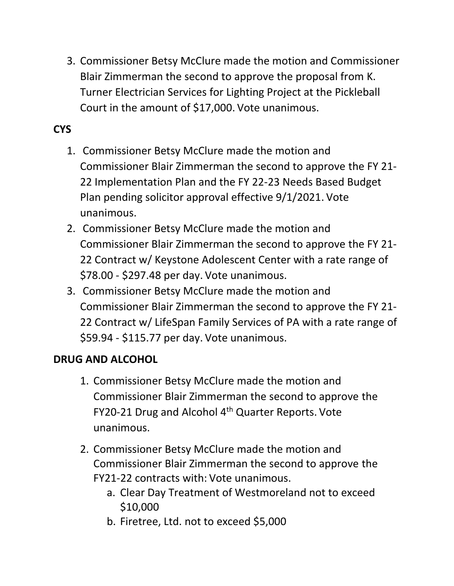3. Commissioner Betsy McClure made the motion and Commissioner Blair Zimmerman the second to approve the proposal from K. Turner Electrician Services for Lighting Project at the Pickleball Court in the amount of \$17,000. Vote unanimous.

# **CYS**

- 1. Commissioner Betsy McClure made the motion and Commissioner Blair Zimmerman the second to approve the FY 21- 22 Implementation Plan and the FY 22-23 Needs Based Budget Plan pending solicitor approval effective 9/1/2021. Vote unanimous.
- 2. Commissioner Betsy McClure made the motion and Commissioner Blair Zimmerman the second to approve the FY 21- 22 Contract w/ Keystone Adolescent Center with a rate range of \$78.00 - \$297.48 per day. Vote unanimous.
- 3. Commissioner Betsy McClure made the motion and Commissioner Blair Zimmerman the second to approve the FY 21- 22 Contract w/ LifeSpan Family Services of PA with a rate range of \$59.94 - \$115.77 per day. Vote unanimous.

### **DRUG AND ALCOHOL**

- 1. Commissioner Betsy McClure made the motion and Commissioner Blair Zimmerman the second to approve the FY20-21 Drug and Alcohol 4<sup>th</sup> Quarter Reports. Vote unanimous.
- 2. Commissioner Betsy McClure made the motion and Commissioner Blair Zimmerman the second to approve the FY21-22 contracts with: Vote unanimous.
	- a. Clear Day Treatment of Westmoreland not to exceed \$10,000
	- b. Firetree, Ltd. not to exceed \$5,000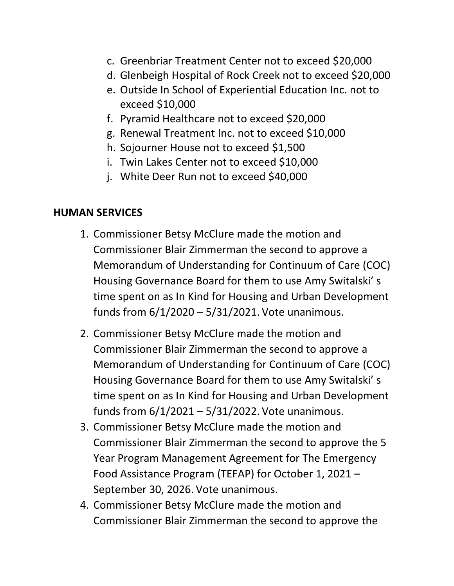- c. Greenbriar Treatment Center not to exceed \$20,000
- d. Glenbeigh Hospital of Rock Creek not to exceed \$20,000
- e. Outside In School of Experiential Education Inc. not to exceed \$10,000
- f. Pyramid Healthcare not to exceed \$20,000
- g. Renewal Treatment Inc. not to exceed \$10,000
- h. Sojourner House not to exceed \$1,500
- i. Twin Lakes Center not to exceed \$10,000
- j. White Deer Run not to exceed \$40,000

### **HUMAN SERVICES**

- 1. Commissioner Betsy McClure made the motion and Commissioner Blair Zimmerman the second to approve a Memorandum of Understanding for Continuum of Care (COC) Housing Governance Board for them to use Amy Switalski' s time spent on as In Kind for Housing and Urban Development funds from 6/1/2020 – 5/31/2021. Vote unanimous.
- 2. Commissioner Betsy McClure made the motion and Commissioner Blair Zimmerman the second to approve a Memorandum of Understanding for Continuum of Care (COC) Housing Governance Board for them to use Amy Switalski' s time spent on as In Kind for Housing and Urban Development funds from 6/1/2021 – 5/31/2022. Vote unanimous.
- 3. Commissioner Betsy McClure made the motion and Commissioner Blair Zimmerman the second to approve the 5 Year Program Management Agreement for The Emergency Food Assistance Program (TEFAP) for October 1, 2021 – September 30, 2026. Vote unanimous.
- 4. Commissioner Betsy McClure made the motion and Commissioner Blair Zimmerman the second to approve the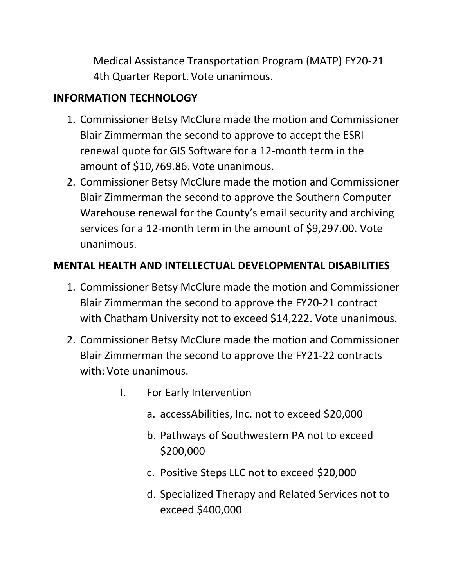Medical Assistance Transportation Program (MATP) FY20-21 4th Quarter Report. Vote unanimous.

# **INFORMATION TECHNOLOGY**

- 1. Commissioner Betsy McClure made the motion and Commissioner Blair Zimmerman the second to approve to accept the ESRI renewal quote for GIS Software for a 12-month term in the amount of \$10,769.86. Vote unanimous.
- 2. Commissioner Betsy McClure made the motion and Commissioner Blair Zimmerman the second to approve the Southern Computer Warehouse renewal for the County's email security and archiving services for a 12-month term in the amount of \$9,297.00. Vote unanimous.

# **MENTAL HEALTH AND INTELLECTUAL DEVELOPMENTAL DISABILITIES**

- 1. Commissioner Betsy McClure made the motion and Commissioner Blair Zimmerman the second to approve the FY20-21 contract with Chatham University not to exceed \$14,222. Vote unanimous.
- 2. Commissioner Betsy McClure made the motion and Commissioner Blair Zimmerman the second to approve the FY21-22 contracts with: Vote unanimous.
	- I. For Early Intervention
		- a. accessAbilities, Inc. not to exceed \$20,000
		- b. Pathways of Southwestern PA not to exceed \$200,000
		- c. Positive Steps LLC not to exceed \$20,000
		- d. Specialized Therapy and Related Services not to exceed \$400,000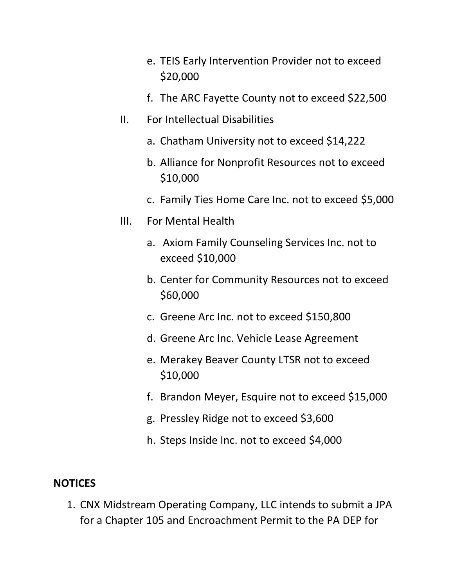- e. TEIS Early Intervention Provider not to exceed \$20,000
- f. The ARC Fayette County not to exceed \$22,500
- II. For Intellectual Disabilities
	- a. Chatham University not to exceed \$14,222
	- b. Alliance for Nonprofit Resources not to exceed \$10,000
	- c. Family Ties Home Care Inc. not to exceed \$5,000
- III. For Mental Health
	- a. Axiom Family Counseling Services Inc. not to exceed \$10,000
	- b. Center for Community Resources not to exceed \$60,000
	- c. Greene Arc Inc. not to exceed \$150,800
	- d. Greene Arc Inc. Vehicle Lease Agreement
	- e. Merakey Beaver County LTSR not to exceed \$10,000
	- f. Brandon Meyer, Esquire not to exceed \$15,000
	- g. Pressley Ridge not to exceed \$3,600
	- h. Steps Inside Inc. not to exceed \$4,000

#### **NOTICES**

1. CNX Midstream Operating Company, LLC intends to submit a JPA for a Chapter 105 and Encroachment Permit to the PA DEP for